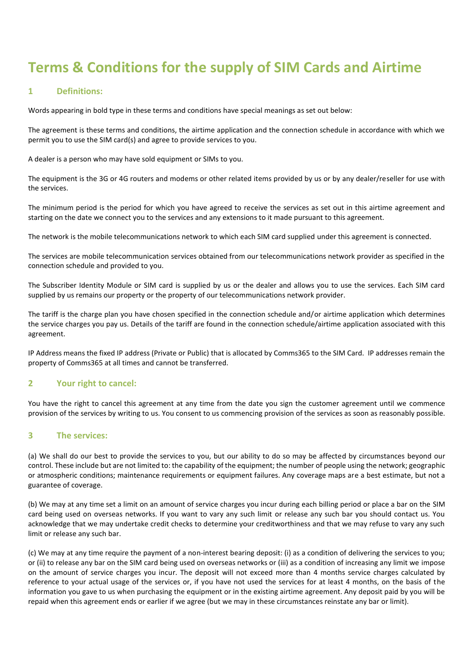# **Terms & Conditions for the supply of SIM Cards and Airtime**

## **1 Definitions:**

Words appearing in bold type in these terms and conditions have special meanings as set out below:

The agreement is these terms and conditions, the airtime application and the connection schedule in accordance with which we permit you to use the SIM card(s) and agree to provide services to you.

A dealer is a person who may have sold equipment or SIMs to you.

The equipment is the 3G or 4G routers and modems or other related items provided by us or by any dealer/reseller for use with the services.

The minimum period is the period for which you have agreed to receive the services as set out in this airtime agreement and starting on the date we connect you to the services and any extensions to it made pursuant to this agreement.

The network is the mobile telecommunications network to which each SIM card supplied under this agreement is connected.

The services are mobile telecommunication services obtained from our telecommunications network provider as specified in the connection schedule and provided to you.

The Subscriber Identity Module or SIM card is supplied by us or the dealer and allows you to use the services. Each SIM card supplied by us remains our property or the property of our telecommunications network provider.

The tariff is the charge plan you have chosen specified in the connection schedule and/or airtime application which determines the service charges you pay us. Details of the tariff are found in the connection schedule/airtime application associated with this agreement.

IP Address means the fixed IP address (Private or Public) that is allocated by Comms365 to the SIM Card. IP addresses remain the property of Comms365 at all times and cannot be transferred.

#### **2 Your right to cancel:**

You have the right to cancel this agreement at any time from the date you sign the customer agreement until we commence provision of the services by writing to us. You consent to us commencing provision of the services as soon as reasonably possible.

#### **3 The services:**

(a) We shall do our best to provide the services to you, but our ability to do so may be affected by circumstances beyond our control. These include but are not limited to: the capability of the equipment; the number of people using the network; geographic or atmospheric conditions; maintenance requirements or equipment failures. Any coverage maps are a best estimate, but not a guarantee of coverage.

(b) We may at any time set a limit on an amount of service charges you incur during each billing period or place a bar on the SIM card being used on overseas networks. If you want to vary any such limit or release any such bar you should contact us. You acknowledge that we may undertake credit checks to determine your creditworthiness and that we may refuse to vary any such limit or release any such bar.

(c) We may at any time require the payment of a non-interest bearing deposit: (i) as a condition of delivering the services to you; or (ii) to release any bar on the SIM card being used on overseas networks or (iii) as a condition of increasing any limit we impose on the amount of service charges you incur. The deposit will not exceed more than 4 months service charges calculated by reference to your actual usage of the services or, if you have not used the services for at least 4 months, on the basis of the information you gave to us when purchasing the equipment or in the existing airtime agreement. Any deposit paid by you will be repaid when this agreement ends or earlier if we agree (but we may in these circumstances reinstate any bar or limit).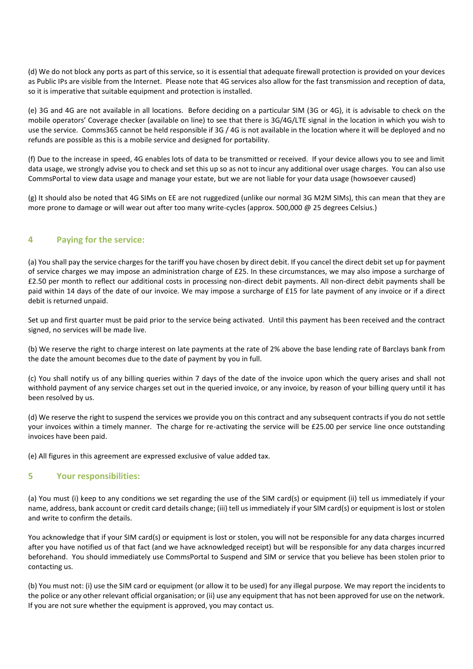(d) We do not block any ports as part of this service, so it is essential that adequate firewall protection is provided on your devices as Public IPs are visible from the Internet. Please note that 4G services also allow for the fast transmission and reception of data, so it is imperative that suitable equipment and protection is installed.

(e) 3G and 4G are not available in all locations. Before deciding on a particular SIM (3G or 4G), it is advisable to check on the mobile operators' Coverage checker (available on line) to see that there is 3G/4G/LTE signal in the location in which you wish to use the service. Comms365 cannot be held responsible if 3G / 4G is not available in the location where it will be deployed and no refunds are possible as this is a mobile service and designed for portability.

(f) Due to the increase in speed, 4G enables lots of data to be transmitted or received. If your device allows you to see and limit data usage, we strongly advise you to check and set this up so as not to incur any additional over usage charges. You can also use CommsPortal to view data usage and manage your estate, but we are not liable for your data usage (howsoever caused)

(g) It should also be noted that 4G SIMs on EE are not ruggedized (unlike our normal 3G M2M SIMs), this can mean that they are more prone to damage or will wear out after too many write-cycles (approx. 500,000 @ 25 degrees Celsius.)

# **4 Paying for the service:**

(a) You shall pay the service charges for the tariff you have chosen by direct debit. If you cancel the direct debit set up for payment of service charges we may impose an administration charge of £25. In these circumstances, we may also impose a surcharge of £2.50 per month to reflect our additional costs in processing non-direct debit payments. All non-direct debit payments shall be paid within 14 days of the date of our invoice. We may impose a surcharge of £15 for late payment of any invoice or if a direct debit is returned unpaid.

Set up and first quarter must be paid prior to the service being activated. Until this payment has been received and the contract signed, no services will be made live.

(b) We reserve the right to charge interest on late payments at the rate of 2% above the base lending rate of Barclays bank from the date the amount becomes due to the date of payment by you in full.

(c) You shall notify us of any billing queries within 7 days of the date of the invoice upon which the query arises and shall not withhold payment of any service charges set out in the queried invoice, or any invoice, by reason of your billing query until it has been resolved by us.

(d) We reserve the right to suspend the services we provide you on this contract and any subsequent contracts if you do not settle your invoices within a timely manner. The charge for re-activating the service will be £25.00 per service line once outstanding invoices have been paid.

(e) All figures in this agreement are expressed exclusive of value added tax.

#### **5 Your responsibilities:**

(a) You must (i) keep to any conditions we set regarding the use of the SIM card(s) or equipment (ii) tell us immediately if your name, address, bank account or credit card details change; (iii) tell us immediately if your SIM card(s) or equipment is lost or stolen and write to confirm the details.

You acknowledge that if your SIM card(s) or equipment is lost or stolen, you will not be responsible for any data charges incurred after you have notified us of that fact (and we have acknowledged receipt) but will be responsible for any data charges incurred beforehand. You should immediately use CommsPortal to Suspend and SIM or service that you believe has been stolen prior to contacting us.

(b) You must not: (i) use the SIM card or equipment (or allow it to be used) for any illegal purpose. We may report the incidents to the police or any other relevant official organisation; or (ii) use any equipment that has not been approved for use on the network. If you are not sure whether the equipment is approved, you may contact us.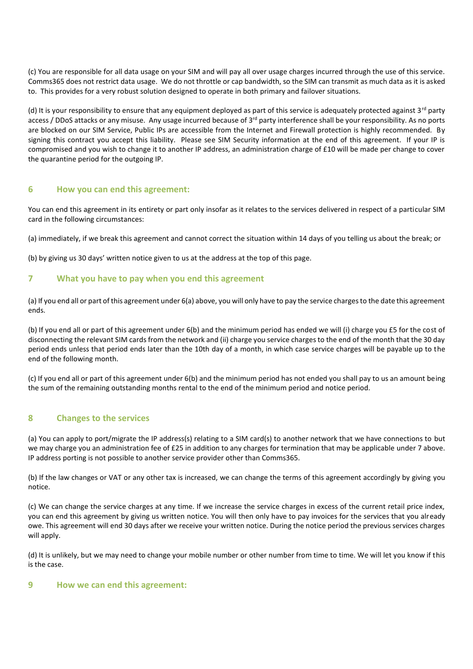(c) You are responsible for all data usage on your SIM and will pay all over usage charges incurred through the use of this service. Comms365 does not restrict data usage. We do not throttle or cap bandwidth, so the SIM can transmit as much data as it is asked to. This provides for a very robust solution designed to operate in both primary and failover situations.

(d) It is your responsibility to ensure that any equipment deployed as part of this service is adequately protected against  $3^{rd}$  party access / DDoS attacks or any misuse. Any usage incurred because of  $3<sup>rd</sup>$  party interference shall be your responsibility. As no ports are blocked on our SIM Service, Public IPs are accessible from the Internet and Firewall protection is highly recommended. By signing this contract you accept this liability. Please see SIM Security information at the end of this agreement. If your IP is compromised and you wish to change it to another IP address, an administration charge of £10 will be made per change to cover the quarantine period for the outgoing IP.

#### **6 How you can end this agreement:**

You can end this agreement in its entirety or part only insofar as it relates to the services delivered in respect of a particular SIM card in the following circumstances:

(a) immediately, if we break this agreement and cannot correct the situation within 14 days of you telling us about the break; or

(b) by giving us 30 days' written notice given to us at the address at the top of this page.

#### **7 What you have to pay when you end this agreement**

(a) If you end all or part of this agreement under 6(a) above, you will only have to pay the service charges to the date this agreement ends.

(b) If you end all or part of this agreement under 6(b) and the minimum period has ended we will (i) charge you £5 for the cost of disconnecting the relevant SIM cards from the network and (ii) charge you service charges to the end of the month that the 30 day period ends unless that period ends later than the 10th day of a month, in which case service charges will be payable up to the end of the following month.

(c) If you end all or part of this agreement under 6(b) and the minimum period has not ended you shall pay to us an amount being the sum of the remaining outstanding months rental to the end of the minimum period and notice period.

# **8 Changes to the services**

(a) You can apply to port/migrate the IP address(s) relating to a SIM card(s) to another network that we have connections to but we may charge you an administration fee of £25 in addition to any charges for termination that may be applicable under 7 above. IP address porting is not possible to another service provider other than Comms365.

(b) If the law changes or VAT or any other tax is increased, we can change the terms of this agreement accordingly by giving you notice.

(c) We can change the service charges at any time. If we increase the service charges in excess of the current retail price index, you can end this agreement by giving us written notice. You will then only have to pay invoices for the services that you already owe. This agreement will end 30 days after we receive your written notice. During the notice period the previous services charges will apply.

(d) It is unlikely, but we may need to change your mobile number or other number from time to time. We will let you know if this is the case.

#### **9 How we can end this agreement:**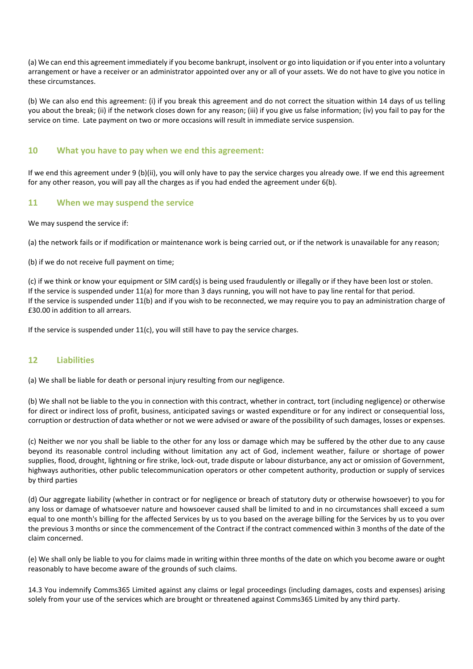(a) We can end this agreement immediately if you become bankrupt, insolvent or go into liquidation or if you enter into a voluntary arrangement or have a receiver or an administrator appointed over any or all of your assets. We do not have to give you notice in these circumstances.

(b) We can also end this agreement: (i) if you break this agreement and do not correct the situation within 14 days of us telling you about the break; (ii) if the network closes down for any reason; (iii) if you give us false information; (iv) you fail to pay for the service on time. Late payment on two or more occasions will result in immediate service suspension.

## **10 What you have to pay when we end this agreement:**

If we end this agreement under 9 (b)(ii), you will only have to pay the service charges you already owe. If we end this agreement for any other reason, you will pay all the charges as if you had ended the agreement under 6(b).

## **11 When we may suspend the service**

We may suspend the service if:

(a) the network fails or if modification or maintenance work is being carried out, or if the network is unavailable for any reason;

(b) if we do not receive full payment on time;

(c) if we think or know your equipment or SIM card(s) is being used fraudulently or illegally or if they have been lost or stolen. If the service is suspended under 11(a) for more than 3 days running, you will not have to pay line rental for that period. If the service is suspended under 11(b) and if you wish to be reconnected, we may require you to pay an administration charge of £30.00 in addition to all arrears.

If the service is suspended under 11(c), you will still have to pay the service charges.

#### **12 Liabilities**

(a) We shall be liable for death or personal injury resulting from our negligence.

(b) We shall not be liable to the you in connection with this contract, whether in contract, tort (including negligence) or otherwise for direct or indirect loss of profit, business, anticipated savings or wasted expenditure or for any indirect or consequential loss, corruption or destruction of data whether or not we were advised or aware of the possibility of such damages, losses or expenses.

(c) Neither we nor you shall be liable to the other for any loss or damage which may be suffered by the other due to any cause beyond its reasonable control including without limitation any act of God, inclement weather, failure or shortage of power supplies, flood, drought, lightning or fire strike, lock-out, trade dispute or labour disturbance, any act or omission of Government, highways authorities, other public telecommunication operators or other competent authority, production or supply of services by third parties

(d) Our aggregate liability (whether in contract or for negligence or breach of statutory duty or otherwise howsoever) to you for any loss or damage of whatsoever nature and howsoever caused shall be limited to and in no circumstances shall exceed a sum equal to one month's billing for the affected Services by us to you based on the average billing for the Services by us to you over the previous 3 months or since the commencement of the Contract if the contract commenced within 3 months of the date of the claim concerned.

(e) We shall only be liable to you for claims made in writing within three months of the date on which you become aware or ought reasonably to have become aware of the grounds of such claims.

14.3 You indemnify Comms365 Limited against any claims or legal proceedings (including damages, costs and expenses) arising solely from your use of the services which are brought or threatened against Comms365 Limited by any third party.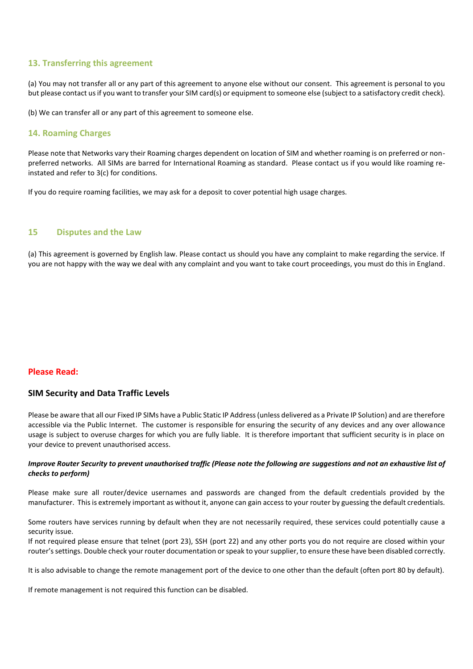## **13. Transferring this agreement**

(a) You may not transfer all or any part of this agreement to anyone else without our consent. This agreement is personal to you but please contact us if you want to transfer your SIM card(s) or equipment to someone else (subject to a satisfactory credit check).

(b) We can transfer all or any part of this agreement to someone else.

## **14. Roaming Charges**

Please note that Networks vary their Roaming charges dependent on location of SIM and whether roaming is on preferred or nonpreferred networks. All SIMs are barred for International Roaming as standard. Please contact us if you would like roaming reinstated and refer to 3(c) for conditions.

If you do require roaming facilities, we may ask for a deposit to cover potential high usage charges.

#### **15 Disputes and the Law**

(a) This agreement is governed by English law. Please contact us should you have any complaint to make regarding the service. If you are not happy with the way we deal with any complaint and you want to take court proceedings, you must do this in England.

#### **Please Read:**

#### **SIM Security and Data Traffic Levels**

Please be aware that all our Fixed IP SIMs have a Public Static IP Address (unless delivered as a Private IP Solution) and are therefore accessible via the Public Internet. The customer is responsible for ensuring the security of any devices and any over allowance usage is subject to overuse charges for which you are fully liable. It is therefore important that sufficient security is in place on your device to prevent unauthorised access.

#### *Improve Router Security to prevent unauthorised traffic (Please note the following are suggestions and not an exhaustive list of checks to perform)*

Please make sure all router/device usernames and passwords are changed from the default credentials provided by the manufacturer. This is extremely important as without it, anyone can gain access to your router by guessing the default credentials.

Some routers have services running by default when they are not necessarily required, these services could potentially cause a security issue.

If not required please ensure that telnet (port 23), SSH (port 22) and any other ports you do not require are closed within your router's settings. Double check your router documentation or speak to your supplier, to ensure these have been disabled correctly.

It is also advisable to change the remote management port of the device to one other than the default (often port 80 by default).

If remote management is not required this function can be disabled.